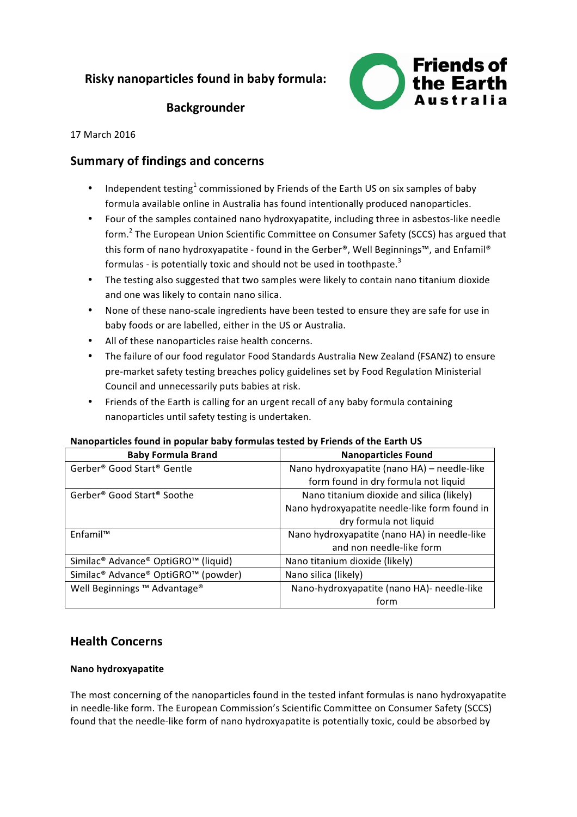# **Risky nanoparticles found in baby formula:**



# **Backgrounder**

17 March 2016

# **Summary of findings and concerns**

- Independent testing<sup>1</sup> commissioned by Friends of the Earth US on six samples of baby formula available online in Australia has found intentionally produced nanoparticles.
- Four of the samples contained nano hydroxyapatite, including three in asbestos-like needle form.<sup>2</sup> The European Union Scientific Committee on Consumer Safety (SCCS) has argued that this form of nano hydroxyapatite - found in the Gerber®, Well Beginnings™, and Enfamil® formulas - is potentially toxic and should not be used in toothpaste.<sup>3</sup>
- The testing also suggested that two samples were likely to contain nano titanium dioxide and one was likely to contain nano silica.
- None of these nano-scale ingredients have been tested to ensure they are safe for use in baby foods or are labelled, either in the US or Australia.
- All of these nanoparticles raise health concerns.
- The failure of our food regulator Food Standards Australia New Zealand (FSANZ) to ensure pre-market safety testing breaches policy guidelines set by Food Regulation Ministerial Council and unnecessarily puts babies at risk.
- Friends of the Earth is calling for an urgent recall of any baby formula containing nanoparticles until safety testing is undertaken.

#### Nanoparticles found in popular baby formulas tested by Friends of the Earth US

| <b>Baby Formula Brand</b>                                               | <b>Nanoparticles Found</b>                    |
|-------------------------------------------------------------------------|-----------------------------------------------|
| Gerber <sup>®</sup> Good Start <sup>®</sup> Gentle                      | Nano hydroxyapatite (nano HA) - needle-like   |
|                                                                         | form found in dry formula not liquid          |
| Gerber <sup>®</sup> Good Start <sup>®</sup> Soothe                      | Nano titanium dioxide and silica (likely)     |
|                                                                         | Nano hydroxyapatite needle-like form found in |
|                                                                         | dry formula not liquid                        |
| Fnfamil™                                                                | Nano hydroxyapatite (nano HA) in needle-like  |
|                                                                         | and non needle-like form                      |
| Similac <sup>®</sup> Advance <sup>®</sup> OptiGRO <sup>™</sup> (liquid) | Nano titanium dioxide (likely)                |
| Similac <sup>®</sup> Advance <sup>®</sup> OptiGRO™ (powder)             | Nano silica (likely)                          |
| Well Beginnings ™ Advantage®                                            | Nano-hydroxyapatite (nano HA)- needle-like    |
|                                                                         | form                                          |

# **Health Concerns**

### **Nano hydroxyapatite**

The most concerning of the nanoparticles found in the tested infant formulas is nano hydroxyapatite in needle-like form. The European Commission's Scientific Committee on Consumer Safety (SCCS) found that the needle-like form of nano hydroxyapatite is potentially toxic, could be absorbed by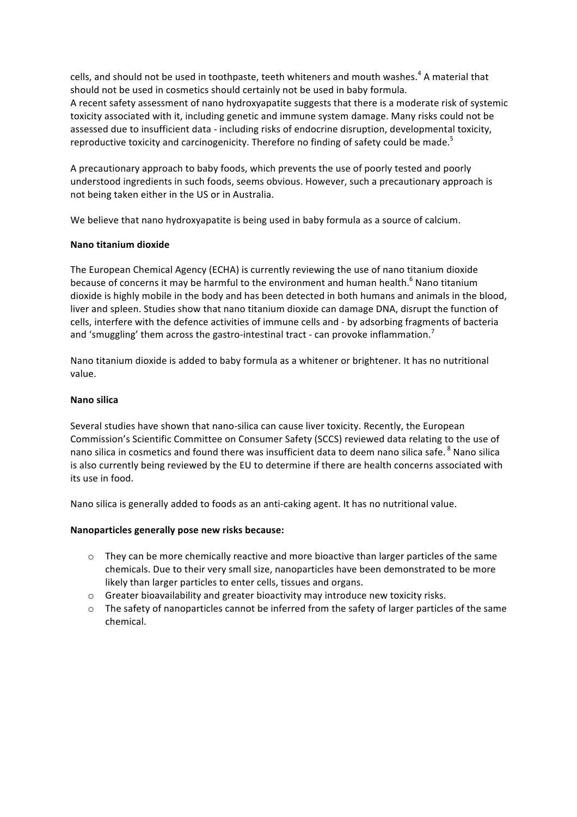cells, and should not be used in toothpaste, teeth whiteners and mouth washes.<sup>4</sup> A material that should not be used in cosmetics should certainly not be used in baby formula. A recent safety assessment of nano hydroxyapatite suggests that there is a moderate risk of systemic toxicity associated with it, including genetic and immune system damage. Many risks could not be assessed due to insufficient data - including risks of endocrine disruption, developmental toxicity, reproductive toxicity and carcinogenicity. Therefore no finding of safety could be made.<sup>5</sup>

A precautionary approach to baby foods, which prevents the use of poorly tested and poorly understood ingredients in such foods, seems obvious. However, such a precautionary approach is not being taken either in the US or in Australia.

We believe that nano hydroxyapatite is being used in baby formula as a source of calcium.

#### **Nano titanium dioxide**

The European Chemical Agency (ECHA) is currently reviewing the use of nano titanium dioxide because of concerns it may be harmful to the environment and human health.<sup>6</sup> Nano titanium dioxide is highly mobile in the body and has been detected in both humans and animals in the blood, liver and spleen. Studies show that nano titanium dioxide can damage DNA, disrupt the function of cells, interfere with the defence activities of immune cells and - by adsorbing fragments of bacteria and 'smuggling' them across the gastro-intestinal tract - can provoke inflammation.<sup>7</sup>

Nano titanium dioxide is added to baby formula as a whitener or brightener. It has no nutritional value.

#### **Nano silica**

Several studies have shown that nano-silica can cause liver toxicity. Recently, the European Commission's Scientific Committee on Consumer Safety (SCCS) reviewed data relating to the use of nano silica in cosmetics and found there was insufficient data to deem nano silica safe. <sup>8</sup> Nano silica is also currently being reviewed by the EU to determine if there are health concerns associated with its use in food.

Nano silica is generally added to foods as an anti-caking agent. It has no nutritional value.

#### **Nanoparticles generally pose new risks because:**

- $\circ$  They can be more chemically reactive and more bioactive than larger particles of the same chemicals. Due to their very small size, nanoparticles have been demonstrated to be more likely than larger particles to enter cells, tissues and organs.
- $\circ$  Greater bioavailability and greater bioactivity may introduce new toxicity risks.
- $\circ$  The safety of nanoparticles cannot be inferred from the safety of larger particles of the same chemical.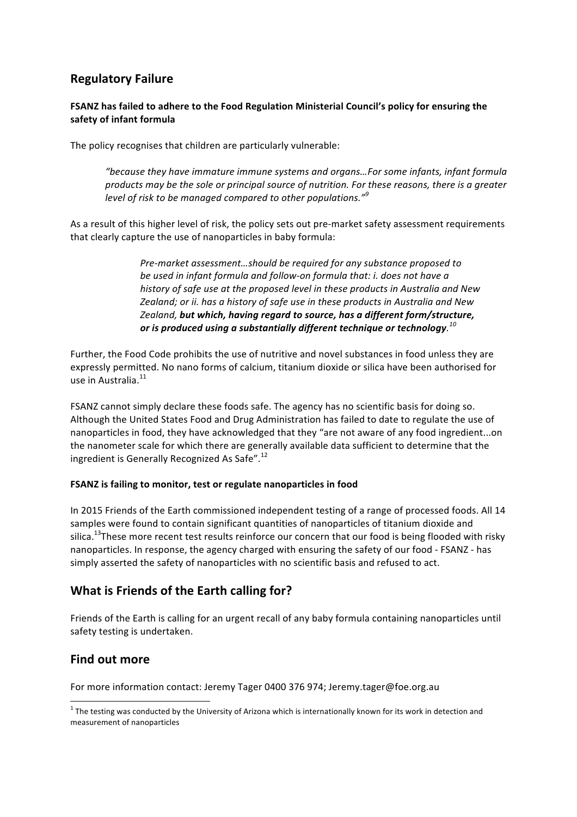# **Regulatory Failure**

### **FSANZ** has failed to adhere to the Food Regulation Ministerial Council's policy for ensuring the **safety of infant formula**

The policy recognises that children are particularly vulnerable:

"because they have immature immune systems and organs...For some infants, infant formula *products* may be the sole or principal source of nutrition. For these reasons, there is a greater *level* of risk to be managed compared to other populations."<sup>9</sup>

As a result of this higher level of risk, the policy sets out pre-market safety assessment requirements that clearly capture the use of nanoparticles in baby formula:

> *Pre-market assessment...should be required for any substance proposed to be used in infant formula and follow-on formula that: i. does not have a history* of safe use at the proposed level in these products in Australia and New Zealand; or ii. has a history of safe use in these products in Australia and New Zealand, but which, having regard to source, has a different form/structure, or is produced using a substantially different technique or technology. $^{10}$

Further, the Food Code prohibits the use of nutritive and novel substances in food unless they are expressly permitted. No nano forms of calcium, titanium dioxide or silica have been authorised for use in Australia. $11$ 

FSANZ cannot simply declare these foods safe. The agency has no scientific basis for doing so. Although the United States Food and Drug Administration has failed to date to regulate the use of nanoparticles in food, they have acknowledged that they "are not aware of any food ingredient...on the nanometer scale for which there are generally available data sufficient to determine that the ingredient is Generally Recognized As Safe".<sup>12</sup>

### **FSANZ** is failing to monitor, test or regulate nanoparticles in food

In 2015 Friends of the Earth commissioned independent testing of a range of processed foods. All 14 samples were found to contain significant quantities of nanoparticles of titanium dioxide and silica.<sup>13</sup>These more recent test results reinforce our concern that our food is being flooded with risky nanoparticles. In response, the agency charged with ensuring the safety of our food - FSANZ - has simply asserted the safety of nanoparticles with no scientific basis and refused to act.

# **What is Friends of the Earth calling for?**

Friends of the Earth is calling for an urgent recall of any baby formula containing nanoparticles until safety testing is undertaken.

# **Find out more**

For more information contact: Jeremy Tager 0400 376 974; Jeremy.tager@foe.org.au

 $1$  The testing was conducted by the University of Arizona which is internationally known for its work in detection and measurement of nanoparticles